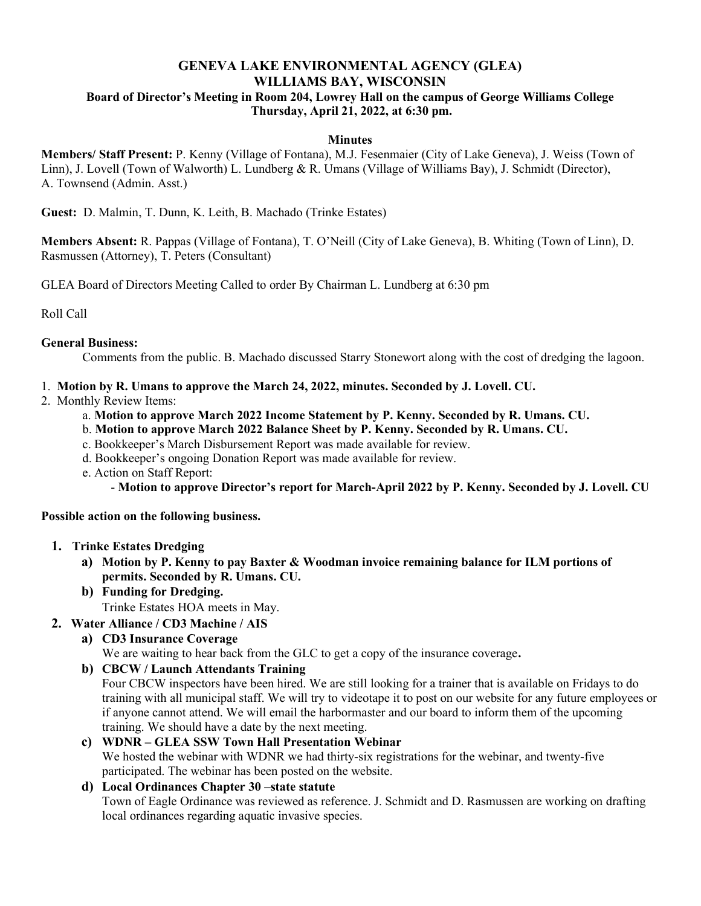## GENEVA LAKE ENVIRONMENTAL AGENCY (GLEA) WILLIAMS BAY, WISCONSIN Board of Director's Meeting in Room 204, Lowrey Hall on the campus of George Williams College Thursday, April 21, 2022, at 6:30 pm.

#### **Minutes**

Members/ Staff Present: P. Kenny (Village of Fontana), M.J. Fesenmaier (City of Lake Geneva), J. Weiss (Town of Linn), J. Lovell (Town of Walworth) L. Lundberg & R. Umans (Village of Williams Bay), J. Schmidt (Director), A. Townsend (Admin. Asst.)

Guest: D. Malmin, T. Dunn, K. Leith, B. Machado (Trinke Estates)

Members Absent: R. Pappas (Village of Fontana), T. O'Neill (City of Lake Geneva), B. Whiting (Town of Linn), D. Rasmussen (Attorney), T. Peters (Consultant)

GLEA Board of Directors Meeting Called to order By Chairman L. Lundberg at 6:30 pm

Roll Call

#### General Business:

Comments from the public. B. Machado discussed Starry Stonewort along with the cost of dredging the lagoon.

- 1. Motion by R. Umans to approve the March 24, 2022, minutes. Seconded by J. Lovell. CU.
- 2. Monthly Review Items:
	- a. Motion to approve March 2022 Income Statement by P. Kenny. Seconded by R. Umans. CU.
	- b. Motion to approve March 2022 Balance Sheet by P. Kenny. Seconded by R. Umans. CU.
	- c. Bookkeeper's March Disbursement Report was made available for review.
	- d. Bookkeeper's ongoing Donation Report was made available for review.
	- e. Action on Staff Report:
		- Motion to approve Director's report for March-April 2022 by P. Kenny. Seconded by J. Lovell. CU

#### Possible action on the following business.

#### 1. Trinke Estates Dredging

- a) Motion by P. Kenny to pay Baxter & Woodman invoice remaining balance for ILM portions of permits. Seconded by R. Umans. CU.
- b) Funding for Dredging.
- Trinke Estates HOA meets in May.

## 2. Water Alliance / CD3 Machine / AIS

a) CD3 Insurance Coverage

We are waiting to hear back from the GLC to get a copy of the insurance coverage.

#### b) CBCW / Launch Attendants Training

Four CBCW inspectors have been hired. We are still looking for a trainer that is available on Fridays to do training with all municipal staff. We will try to videotape it to post on our website for any future employees or if anyone cannot attend. We will email the harbormaster and our board to inform them of the upcoming training. We should have a date by the next meeting.

c) WDNR – GLEA SSW Town Hall Presentation Webinar

We hosted the webinar with WDNR we had thirty-six registrations for the webinar, and twenty-five participated. The webinar has been posted on the website.

# d) Local Ordinances Chapter 30 –state statute

Town of Eagle Ordinance was reviewed as reference. J. Schmidt and D. Rasmussen are working on drafting local ordinances regarding aquatic invasive species.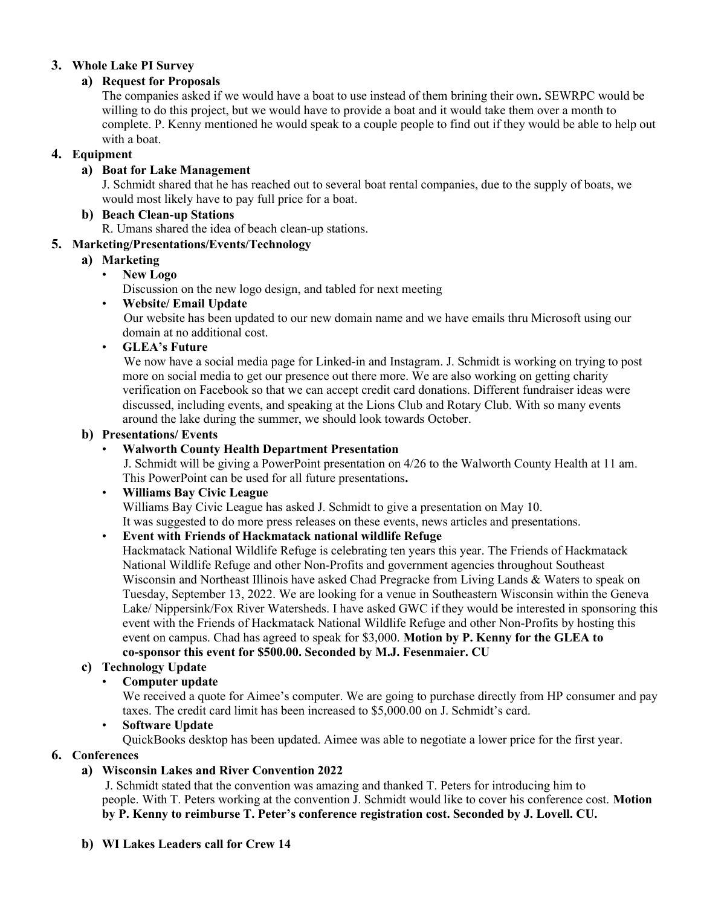#### 3. Whole Lake PI Survey

## a) Request for Proposals

The companies asked if we would have a boat to use instead of them brining their own. SEWRPC would be willing to do this project, but we would have to provide a boat and it would take them over a month to complete. P. Kenny mentioned he would speak to a couple people to find out if they would be able to help out with a boat.

## 4. Equipment

## a) Boat for Lake Management

J. Schmidt shared that he has reached out to several boat rental companies, due to the supply of boats, we would most likely have to pay full price for a boat.

### b) Beach Clean-up Stations

R. Umans shared the idea of beach clean-up stations.

## 5. Marketing/Presentations/Events/Technology

## a) Marketing

New Logo

Discussion on the new logo design, and tabled for next meeting

## • Website/ Email Update

 Our website has been updated to our new domain name and we have emails thru Microsoft using our domain at no additional cost.

## • GLEA's Future

 We now have a social media page for Linked-in and Instagram. J. Schmidt is working on trying to post more on social media to get our presence out there more. We are also working on getting charity verification on Facebook so that we can accept credit card donations. Different fundraiser ideas were discussed, including events, and speaking at the Lions Club and Rotary Club. With so many events around the lake during the summer, we should look towards October.

#### b) Presentations/ Events

## • Walworth County Health Department Presentation

 J. Schmidt will be giving a PowerPoint presentation on 4/26 to the Walworth County Health at 11 am. This PowerPoint can be used for all future presentations.

#### • Williams Bay Civic League

Williams Bay Civic League has asked J. Schmidt to give a presentation on May 10. It was suggested to do more press releases on these events, news articles and presentations.

# • Event with Friends of Hackmatack national wildlife Refuge

Hackmatack National Wildlife Refuge is celebrating ten years this year. The Friends of Hackmatack National Wildlife Refuge and other Non-Profits and government agencies throughout Southeast Wisconsin and Northeast Illinois have asked Chad Pregracke from Living Lands & Waters to speak on Tuesday, September 13, 2022. We are looking for a venue in Southeastern Wisconsin within the Geneva Lake/ Nippersink/Fox River Watersheds. I have asked GWC if they would be interested in sponsoring this event with the Friends of Hackmatack National Wildlife Refuge and other Non-Profits by hosting this event on campus. Chad has agreed to speak for \$3,000. Motion by P. Kenny for the GLEA to co-sponsor this event for \$500.00. Seconded by M.J. Fesenmaier. CU

# c) Technology Update

#### • Computer update

We received a quote for Aimee's computer. We are going to purchase directly from HP consumer and pay taxes. The credit card limit has been increased to \$5,000.00 on J. Schmidt's card.

#### • Software Update

QuickBooks desktop has been updated. Aimee was able to negotiate a lower price for the first year.

# 6. Conferences

# a) Wisconsin Lakes and River Convention 2022

 J. Schmidt stated that the convention was amazing and thanked T. Peters for introducing him to people. With T. Peters working at the convention J. Schmidt would like to cover his conference cost. Motion by P. Kenny to reimburse T. Peter's conference registration cost. Seconded by J. Lovell. CU.

#### b) WI Lakes Leaders call for Crew 14